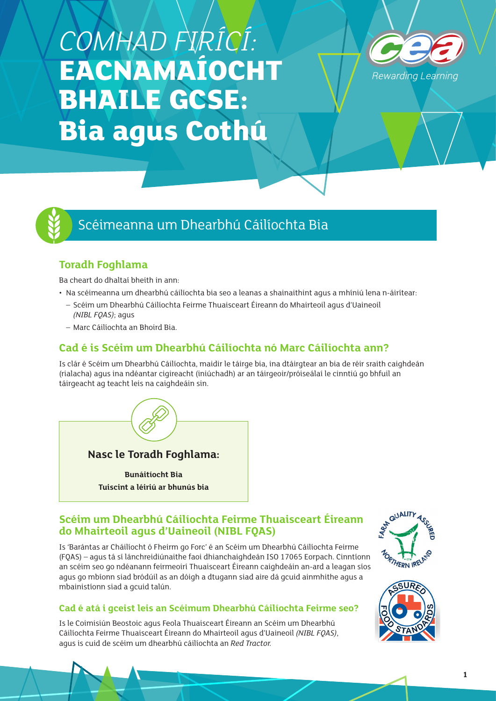# *COMHAD FIRÍCÍ:*  **EACNAMAÍOCHT BHAILE GCSE: Bia agus Cothú**





## Scéimeanna um Dhearbhú Cáilíochta Bia

## **Toradh Foghlama**

Ba cheart do dhaltaí bheith in ann:

- Na scéimeanna um dhearbhú cáilíochta bia seo a leanas a shainaithint agus a mhíniú lena n-áirítear:
- Scéim um Dhearbhú Cáilíochta Feirme Thuaisceart Éireann do Mhairteoil agus d'Uaineoil *(NIBL FQAS)*; agus
- Marc Cáilíochta an Bhoird Bia.

## **Cad é is Scéim um Dhearbhú Cáilíochta nó Marc Cáilíochta ann?**

Is clár é Scéim um Dhearbhú Cáilíochta, maidir le táirge bia, ina dtáirgtear an bia de réir sraith caighdeán (rialacha) agus ina ndéantar cigireacht (iniúchadh) ar an táirgeoir/próiseálaí le cinntiú go bhfuil an táirgeacht ag teacht leis na caighdeáin sin.



## **Scéim um Dhearbhú Cáilíochta Feirme Thuaisceart Éireann do Mhairteoil agus d'Uaineoil (NIBL FQAS)**

Is 'Barántas ar Cháilíocht ó Fheirm go Forc' é an Scéim um Dhearbhú Cáilíochta Feirme (FQAS) – agus tá sí lánchreidiúnaithe faoi dhianchaighdeán ISO 17065 Eorpach. Cinntíonn an scéim seo go ndéanann feirmeoirí Thuaisceart Éireann caighdeáin an-ard a leagan síos agus go mbíonn siad bródúil as an dóigh a dtugann siad aire dá gcuid ainmhithe agus a mbainistíonn siad a gcuid talún.

## **Cad é atá i gceist leis an Scéimum Dhearbhú Cáilíochta Feirme seo?**

Is le Coimisiún Beostoic agus Feola Thuaisceart Éireann an Scéim um Dhearbhú Cáilíochta Feirme Thuaisceart Éireann do Mhairteoil agus d'Uaineoil *(NIBL FQAS)*, agus is cuid de scéim um dhearbhú cáilíochta an *Red Tractor.*



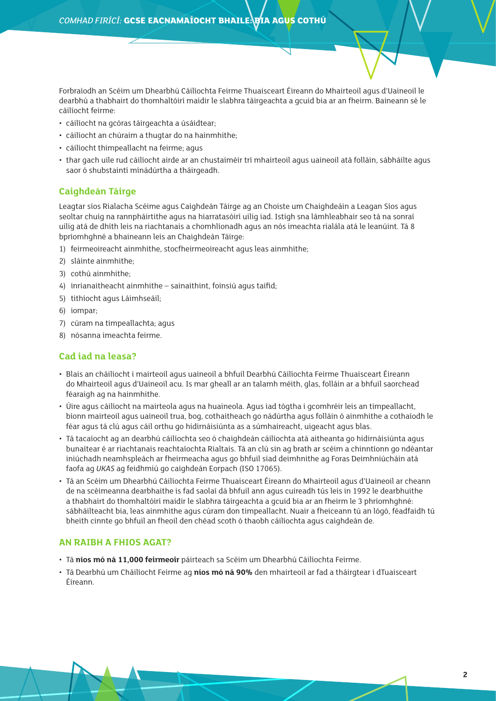Forbraíodh an Scéim um Dhearbhú Cáilíochta Feirme Thuaisceart Éireann do Mhairteoil agus d'Uaineoil le dearbhú a thabhairt do thomhaltóirí maidir le slabhra táirgeachta a gcuid bia ar an fheirm. Baineann sé le cáilíocht feirme:

- cáilíocht na gcóras táirgeachta a úsáidtear;
- cáilíocht an chúraim a thugtar do na hainmhithe;
- cáilíocht thimpeallacht na feirme; agus
- thar gach uile rud cáilíocht airde ar an chustaiméir trí mhairteoil agus uaineoil atá folláin, sábháilte agus saor ó shubstaintí mínádúrtha a tháirgeadh.

#### **Caighdeán Táirge**

Leagtar síos Rialacha Scéime agus Caighdeán Táirge ag an Choiste um Chaighdeáin a Leagan Síos agus seoltar chuig na rannpháirtithe agus na hiarratasóirí uilig iad. Istigh sna lámhleabhair seo tá na sonraí uilig atá de dhíth leis na riachtanais a chomhlíonadh agus an nós imeachta rialála atá le leanúint. Tá 8 bpríomhghné a bhaineann leis an Chaighdeán Táirge:

- 1) feirmeoireacht ainmhithe, stocfheirmeoireacht agus leas ainmhithe;
- 2) sláinte ainmhithe;
- 3) cothú ainmhithe;
- 4) inrianaitheacht ainmhithe sainaithint, foinsiú agus taifid;
- 5) tithíocht agus Láimhseáil;
- 6) iompar;
- 7) cúram na timpeallachta; agus
- 8) nósanna imeachta feirme.

#### **Cad iad na leasa?**

- Blais an cháilíocht i mairteoil agus uaineoil a bhfuil Dearbhú Cáilíochta Feirme Thuaisceart Éireann do Mhairteoil agus d'Uaineoil acu. Is mar gheall ar an talamh méith, glas, folláin ar a bhfuil saorchead féaraigh ag na hainmhithe.
- Úire agus cáilíocht na mairteola agus na huaineola. Agus iad tógtha i gcomhréir leis an timpeallacht, bíonn mairteoil agus uaineoil trua, bog, cothaitheach go nádúrtha agus folláin ó ainmhithe a cothaíodh le féar agus tá clú agus cáil orthu go hidirnáisiúnta as a súmhaireacht, uigeacht agus blas.
- Tá tacaíocht ag an dearbhú cáilíochta seo ó chaighdeán cáilíochta atá aitheanta go hidirnáisiúnta agus bunaítear é ar riachtanais reachtaíochta Rialtais. Tá an clú sin ag brath ar scéim a chinntíonn go ndéantar iniúchadh neamhspleách ar fheirmeacha agus go bhfuil siad deimhnithe ag Foras Deimhniúcháin atá faofa ag *UKAS* ag feidhmiú go caighdeán Eorpach (ISO 17065).
- Tá an Scéim um Dhearbhú Cáilíochta Feirme Thuaisceart Éireann do Mhairteoil agus d'Uaineoil ar cheann de na scéimeanna dearbhaithe is fad saolaí dá bhfuil ann agus cuireadh tús leis in 1992 le dearbhuithe a thabhairt do thomhaltóirí maidir le slabhra táirgeachta a gcuid bia ar an fheirm le 3 phríomhghné: sábháilteacht bia, leas ainmhithe agus cúram don timpeallacht. Nuair a fheiceann tú an lógó, féadfaidh tú bheith cinnte go bhfuil an fheoil den chéad scoth ó thaobh cáilíochta agus caighdeán de.

#### **AN RAIBH A FHIOS AGAT?**

- Tá **níos mó ná 11,000 feirmeoir** páirteach sa Scéim um Dhearbhú Cáilíochta Feirme.
- Tá Dearbhú um Cháilíocht Feirme ag **níos mó ná 90%** den mhairteoil ar fad a tháirgtear i dTuaisceart Éireann.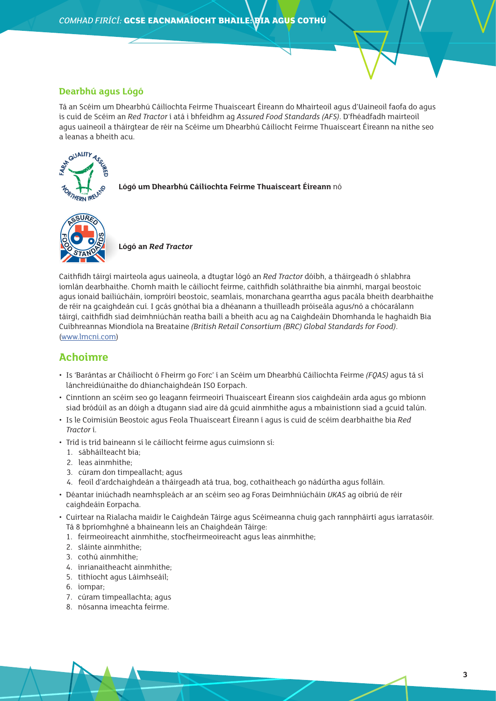#### **Dearbhú agus Lógó**

Tá an Scéim um Dhearbhú Cáilíochta Feirme Thuaisceart Éireann do Mhairteoil agus d'Uaineoil faofa do agus is cuid de Scéim an *Red Tractor* í atá i bhfeidhm ag *Assured Food Standards (AFS)*. D'fhéadfadh mairteoil agus uaineoil a tháirgtear de réir na Scéime um Dhearbhú Cáilíocht Feirme Thuaisceart Éireann na nithe seo a leanas a bheith acu.



**Lógó um Dhearbhú Cáilíochta Feirme Thuaisceart Éireann** nó



**Lógó an** *Red Tractor* 

Caithfidh táirgí mairteola agus uaineola, a dtugtar lógó an *Red Tractor* dóibh, a tháirgeadh ó shlabhra iomlán dearbhaithe. Chomh maith le cáilíocht feirme, caithfidh soláthraithe bia ainmhí, margaí beostoic agus ionaid bailiúcháin, iompróirí beostoic, seamlais, monarchana gearrtha agus pacála bheith dearbhaithe de réir na gcaighdeán cuí. I gcás gnóthaí bia a dhéanann a thuilleadh próiseála agus/nó a chócarálann táirgí, caithfidh siad deimhniúchán reatha bailí a bheith acu ag na Caighdeáin Dhomhanda le haghaidh Bia Cuibhreannas Miondíola na Breataine *(British Retail Consortium (BRC) Global Standards for Food)*. ([www.lmcni.com](http://www.lmcni.com))

## **Achoimre**

- Is 'Barántas ar Cháilíocht ó Fheirm go Forc' í an Scéim um Dhearbhú Cáilíochta Feirme *(FQAS)* agus tá sí lánchreidiúnaithe do dhianchaighdeán ISO Eorpach.
- Cinntíonn an scéim seo go leagann feirmeoirí Thuaisceart Éireann síos caighdeáin arda agus go mbíonn siad bródúil as an dóigh a dtugann siad aire dá gcuid ainmhithe agus a mbainistíonn siad a gcuid talún.
- Is le Coimisiún Beostoic agus Feola Thuaisceart Éireann í agus is cuid de scéim dearbhaithe bia *Red Tractor* í.
- Tríd is tríd baineann sí le cáilíocht feirme agus cuimsíonn sí:
	- 1. sábháilteacht bia;
	- 2. leas ainmhithe;
	- 3. cúram don timpeallacht; agus
	- 4. feoil d'ardchaighdeán a tháirgeadh atá trua, bog, cothaitheach go nádúrtha agus folláin.
- Déantar iniúchadh neamhspleách ar an scéim seo ag Foras Deimhniúcháin *UKAS* ag oibriú de réir caighdeáin Eorpacha.
- Cuirtear na Rialacha maidir le Caighdeán Táirge agus Scéimeanna chuig gach rannpháirtí agus iarratasóir. Tá 8 bpríomhghné a bhaineann leis an Chaighdeán Táirge:
	- 1. feirmeoireacht ainmhithe, stocfheirmeoireacht agus leas ainmhithe;
	- 2. sláinte ainmhithe;
	- 3. cothú ainmhithe;
	- 4. inrianaitheacht ainmhithe;
	- 5. tithíocht agus Láimhseáil;
	- 6. iompar;
	- 7. cúram timpeallachta; agus
	- 8. nósanna imeachta feirme.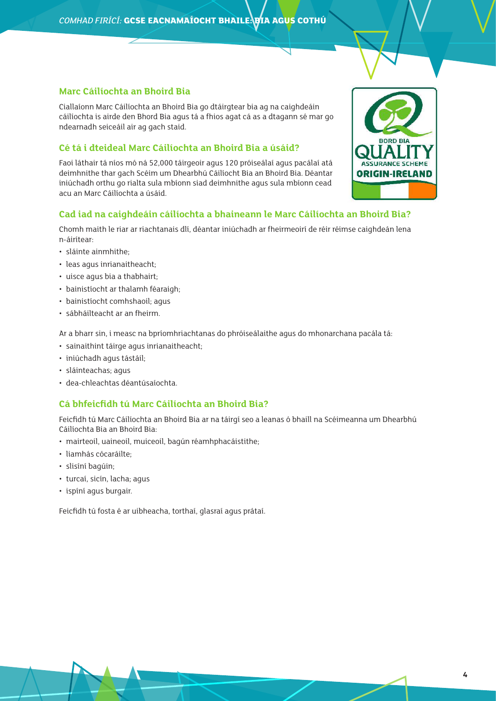## **Marc Cáilíochta an Bhoird Bia**

Ciallaíonn Marc Cáilíochta an Bhoird Bia go dtáirgtear bia ag na caighdeáin cáilíochta is airde den Bhord Bia agus tá a fhios agat cá as a dtagann sé mar go ndearnadh seiceáil air ag gach staid.

## **Cé tá i dteideal Marc Cáilíochta an Bhoird Bia a úsáid?**

Faoi láthair tá níos mó ná 52,000 táirgeoir agus 120 próiseálaí agus pacálaí atá deimhnithe thar gach Scéim um Dhearbhú Cáilíocht Bia an Bhoird Bia. Déantar iniúchadh orthu go rialta sula mbíonn siad deimhnithe agus sula mbíonn cead acu an Marc Cáilíochta a úsáid.



## **Cad iad na caighdeáin cáilíochta a bhaineann le Marc Cáilíochta an Bhoird Bia?**

Chomh maith le riar ar riachtanais dlí, déantar iniúchadh ar fheirmeoirí de réir réimse caighdeán lena n-áirítear:

- sláinte ainmhithe;
- leas agus inrianaitheacht;
- uisce agus bia a thabhairt;
- bainistíocht ar thalamh féaraigh;
- bainistíocht comhshaoil; agus
- sábháilteacht ar an fheirm.

Ar a bharr sin, i measc na bpríomhriachtanas do phróiseálaithe agus do mhonarchana pacála tá:

- sainaithint táirge agus inrianaitheacht;
- iniúchadh agus tástáil;
- sláinteachas; agus
- dea-chleachtas déantúsaíochta.

## **Cá bhfeicfidh tú Marc Cáilíochta an Bhoird Bia?**

Feicfidh tú Marc Cáilíochta an Bhoird Bia ar na táirgí seo a leanas ó bhaill na Scéimeanna um Dhearbhú Cáilíochta Bia an Bhoird Bia:

- mairteoil, uaineoil, muiceoil, bagún réamhphacáistithe;
- liamhás cócaráilte;
- slisíní bagúin;
- turcaí, sicín, lacha; agus
- ispíní agus burgair.

Feicfidh tú fosta é ar uibheacha, torthaí, glasraí agus prátaí.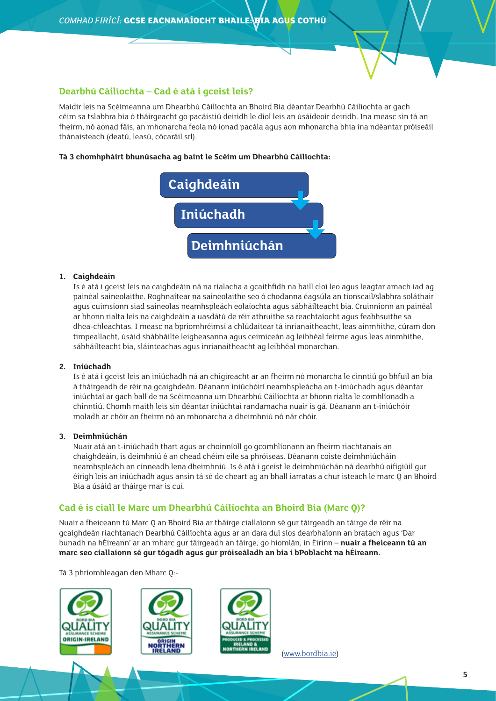#### **Dearbhú Cáilíochta – Cad é atá i gceist leis?**

Maidir leis na Scéimeanna um Dhearbhú Cáilíochta an Bhoird Bia déantar Dearbhú Cáilíochta ar gach céim sa tslabhra bia ó tháirgeacht go pacáistiú deiridh le díol leis an úsáideoir deiridh. Ina measc sin tá an fheirm, nó aonad fáis, an mhonarcha feola nó ionad pacála agus aon mhonarcha bhia ina ndéantar próiseáil thánaisteach (deatú, leasú, cócaráil srl).

#### **Tá 3 chomhpháirt bhunúsacha ag baint le Scéim um Dhearbhú Cáilíochta:**



#### **1. Caighdeáin**

Is é atá i gceist leis na caighdeáin ná na rialacha a gcaithfidh na baill cloí leo agus leagtar amach iad ag painéal saineolaithe. Roghnaítear na saineolaithe seo ó chodanna éagsúla an tionscail/slabhra soláthair agus cuimsíonn siad saineolas neamhspleách eolaíochta agus sábháilteacht bia. Cruinníonn an painéal ar bhonn rialta leis na caighdeáin a uasdátú de réir athruithe sa reachtaíocht agus feabhsuithe sa dhea-chleachtas. I measc na bpríomhréimsí a chlúdaítear tá inrianaitheacht, leas ainmhithe, cúram don timpeallacht, úsáid shábháilte leigheasanna agus ceimiceán ag leibhéal feirme agus leas ainmhithe, sábháilteacht bia, sláinteachas agus inrianaitheacht ag leibhéal monarchan.

#### **2. Iniúchadh**

Is é atá i gceist leis an iniúchadh ná an chigireacht ar an fheirm nó monarcha le cinntiú go bhfuil an bia á tháirgeadh de réir na gcaighdeán. Déanann iniúchóirí neamhspleácha an t-iniúchadh agus déantar iniúchtaí ar gach ball de na Scéimeanna um Dhearbhú Cáilíochta ar bhonn rialta le comhlíonadh a chinntiú. Chomh maith leis sin déantar iniúchtaí randamacha nuair is gá. Déanann an t-iniúchóir moladh ar chóir an fheirm nó an mhonarcha a dheimhniú nó nár chóir.

#### **3. Deimhniúchán**

Nuair atá an t-iniúchadh thart agus ar choinníoll go gcomhlíonann an fheirm riachtanais an chaighdeáin, is deimhniú é an chead chéim eile sa phróiseas. Déanann coiste deimhniúcháin neamhspleách an cinneadh lena dheimhniú. Is é atá i gceist le deimhniúchán ná dearbhú oifigiúil gur éirigh leis an iniúchadh agus ansin tá sé de cheart ag an bhall iarratas a chur isteach le marc Q an Bhoird Bia a úsáid ar tháirge mar is cuí.

#### **Cad é is ciall le Marc um Dhearbhú Cáilíochta an Bhoird Bia (Marc Q)?**

Nuair a fheiceann tú Marc Q an Bhoird Bia ar tháirge ciallaíonn sé gur táirgeadh an táirge de réir na gcaighdeán riachtanach Dearbhú Cáilíochta agus ar an dara dul síos dearbhaíonn an bratach agus 'Dar bunadh na hÉireann' ar an mharc gur táirgeadh an táirge, go hiomlán, in Éirinn – **nuair a fheiceann tú an marc seo ciallaíonn sé gur tógadh agus gur próiseáladh an bia i bPoblacht na hÉireann.**

Tá 3 phríomhleagan den Mharc Q:-







([www.bordbia.ie\)](http://www.bordbia.ie)